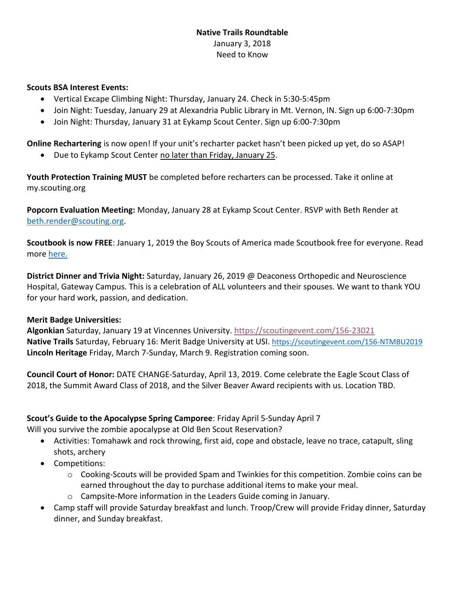## **Native Trails Roundtable**  January 3, 2018 Need to Know

## **Scouts BSA Interest Events:**

- Vertical Excape Climbing Night: Thursday, January 24. Check in 5:30-5:45pm
- Join Night: Tuesday, January 29 at Alexandria Public Library in Mt. Vernon, IN. Sign up 6:00-7:30pm
- Join Night: Thursday, January 31 at Eykamp Scout Center. Sign up 6:00-7:30pm

**Online Rechartering** is now open! If your unit's recharter packet hasn't been picked up yet, do so ASAP!

• Due to Eykamp Scout Center no later than Friday, January 25.

**Youth Protection Training MUST** be completed before recharters can be processed. Take it online at my.scouting.org

**Popcorn Evaluation Meeting:** Monday, January 28 at Eykamp Scout Center. RSVP with Beth Render at [beth.render@scouting.org.](mailto:beth.render@scouting.org)

**Scoutbook is now FREE**: January 1, 2019 the Boy Scouts of America made Scoutbook free for everyone. Read more [here.](https://blog.scoutingmagazine.org/2018/08/31/bsa-announces-its-making-scoutbook-free-for-everyone-beginning-jan-1-2019/?utm_source=scoutingwire&utm_campaign=swemployee952018&utm_medium=email&utm_content)

**District Dinner and Trivia Night:** Saturday, January 26, 2019 @ Deaconess Orthopedic and Neuroscience Hospital, Gateway Campus. This is a celebration of ALL volunteers and their spouses. We want to thank YOU for your hard work, passion, and dedication.

## **Merit Badge Universities:**

**Algonkian** Saturday, January 19 at Vincennes University.<https://scoutingevent.com/156-23021> **Native Trails** Saturday, February 16: Merit Badge University at USI. <https://scoutingevent.com/156-NTMBU2019> **Lincoln Heritage** Friday, March 7-Sunday, March 9. Registration coming soon.

**Council Court of Honor:** DATE CHANGE-Saturday, April 13, 2019. Come celebrate the Eagle Scout Class of 2018, the Summit Award Class of 2018, and the Silver Beaver Award recipients with us. Location TBD.

## **Scout's Guide to the Apocalypse Spring Camporee**: Friday April 5-Sunday April 7

Will you survive the zombie apocalypse at Old Ben Scout Reservation?

- Activities: Tomahawk and rock throwing, first aid, cope and obstacle, leave no trace, catapult, sling shots, archery
- Competitions:
	- $\circ$  Cooking-Scouts will be provided Spam and Twinkies for this competition. Zombie coins can be earned throughout the day to purchase additional items to make your meal.
	- $\circ$  Campsite-More information in the Leaders Guide coming in January.
- Camp staff will provide Saturday breakfast and lunch. Troop/Crew will provide Friday dinner, Saturday dinner, and Sunday breakfast.